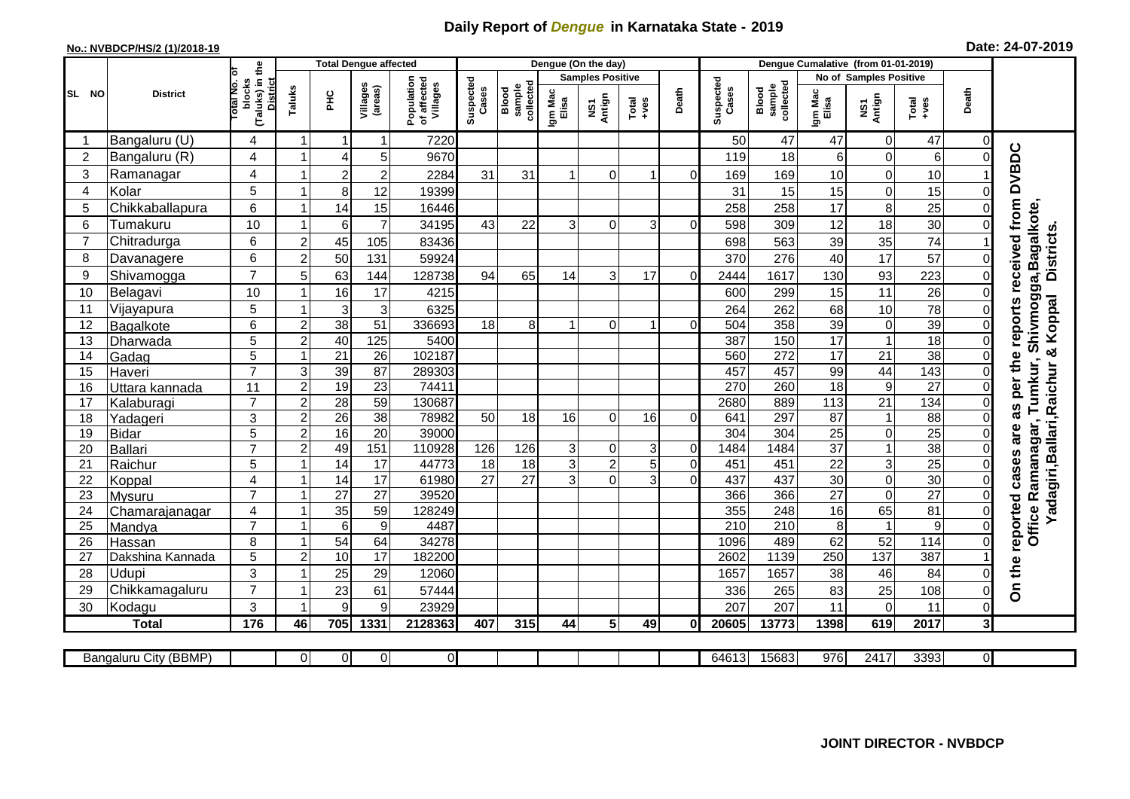## **Daily Report of** *Dengue* **in Karnataka State - 2019**

## **No.: NVBDCP/HS/2 (1)/2018-19 Date: 24-07-2019**

|                |                       |                                                              | <b>Total Dengue affected</b> |                 |                     |                                       |                    |                              | Dengue (On the day) |                         |                  |                |                    |                              |                  |                               |                 |                |                                    |
|----------------|-----------------------|--------------------------------------------------------------|------------------------------|-----------------|---------------------|---------------------------------------|--------------------|------------------------------|---------------------|-------------------------|------------------|----------------|--------------------|------------------------------|------------------|-------------------------------|-----------------|----------------|------------------------------------|
|                |                       |                                                              |                              |                 |                     |                                       |                    |                              |                     | <b>Samples Positive</b> |                  |                |                    |                              |                  | <b>No of Samples Positive</b> |                 |                |                                    |
| SL NO          | <b>District</b>       | (Taluks) in the<br>rotal No. of<br>blocks<br><b>District</b> | Taluks                       | ŦЕ              | Villages<br>(areas) | Population<br>of affected<br>Villages | Suspected<br>Cases | collected<br>sample<br>Blood | Igm Mac<br>Elisa    | NS1<br>Antign           | $Tota$<br>$+ves$ | Death          | Suspected<br>Cases | collected<br>sample<br>Blood | Igm Mac<br>Elisa | NS1<br>Antign                 | Total<br>+ves   | Death          |                                    |
|                | Bangaluru (U)         | 4                                                            | -1                           | -1              | 1                   | 7220                                  |                    |                              |                     |                         |                  |                | 50                 | 47                           | 47               | $\overline{0}$                | 47              | $\Omega$       |                                    |
| $\overline{2}$ | Bangaluru (R)         | 4                                                            |                              | $\overline{4}$  | 5                   | 9670                                  |                    |                              |                     |                         |                  |                | 119                | 18                           | 6                | 0                             | 6               | 0              |                                    |
| 3              | Ramanagar             | 4                                                            |                              | $\overline{c}$  | $\overline{2}$      | 2284                                  | 31                 | 31                           |                     | $\Omega$                |                  | $\Omega$       | 169                | 169                          | 10               | 0                             | 10              |                | reports received from DVBDC        |
| $\overline{4}$ | Kolar                 | 5                                                            |                              | 8               | 12                  | 19399                                 |                    |                              |                     |                         |                  |                | 31                 | 15                           | 15               | $\mathbf 0$                   | 15              | $\Omega$       |                                    |
| 5              | Chikkaballapura       | 6                                                            |                              | 14              | 15                  | 16446                                 |                    |                              |                     |                         |                  |                | 258                | 258                          | 17               | 8                             | 25              | $\Omega$       |                                    |
| 6              | Tumakuru              | 10                                                           |                              | 6               | $\overline{7}$      | 34195                                 | 43                 | 22                           | $\overline{3}$      | $\Omega$                | 3                | $\Omega$       | 598                | 309                          | 12               | 18                            | 30              | $\Omega$       |                                    |
| $\overline{7}$ | Chitradurga           | 6                                                            | $\overline{c}$               | 45              | 105                 | 83436                                 |                    |                              |                     |                         |                  |                | 698                | 563                          | 39               | 35                            | $\overline{74}$ |                |                                    |
| 8              | Davanagere            | 6                                                            | $\overline{2}$               | 50              | 131                 | 59924                                 |                    |                              |                     |                         |                  |                | 370                | 276                          | 40               | 17                            | 57              | 0              |                                    |
| 9              | Shivamogga            | $\overline{7}$                                               | 5                            | 63              | 144                 | 128738                                | 94                 | 65                           | 14                  | 3                       | 17               | $\Omega$       | 2444               | 1617                         | 130              | 93                            | 223             | $\Omega$       | Shivmogga, Bagalkote<br>Districts. |
| 10             | Belagavi              | 10                                                           |                              | 16              | 17                  | 4215                                  |                    |                              |                     |                         |                  |                | 600                | 299                          | 15               | 11                            | 26              | 0              |                                    |
| 11             | Vijayapura            | 5                                                            |                              | $\mathbf{3}$    | 3                   | 6325                                  |                    |                              |                     |                         |                  |                | 264                | 262                          | 68               | 10                            | 78              | 0              | adagiri, Ballari, Raichur & Koppal |
| 12             | Bagalkote             | 6                                                            | $\overline{c}$               | $\overline{38}$ | 51                  | 336693                                | 18                 | 8                            | $\overline{ }$      | $\Omega$                |                  | $\Omega$       | 504                | 358                          | 39               | $\pmb{0}$                     | 39              | $\Omega$       |                                    |
| 13             | Dharwada              | $\overline{5}$                                               | $\overline{2}$               | 40              | 125                 | 5400                                  |                    |                              |                     |                         |                  |                | 387                | 150                          | 17               | $\overline{1}$                | 18              | $\mathbf 0$    |                                    |
| 14             | Gadag                 | 5                                                            |                              | 21              | $\overline{26}$     | 102187                                |                    |                              |                     |                         |                  |                | 560                | 272                          | $\overline{17}$  | $\overline{21}$               | 38              | $\Omega$       |                                    |
| 15             | Haveri                | $\overline{7}$                                               | 3                            | 39              | $\overline{87}$     | 289303                                |                    |                              |                     |                         |                  |                | 457                | 457                          | 99               | 44                            | 143             | $\overline{0}$ |                                    |
| 16             | Uttara kannada        | 11                                                           | $\overline{c}$               | 19              | $\overline{23}$     | 74411                                 |                    |                              |                     |                         |                  |                | 270                | 260                          | $\overline{18}$  | 9                             | $\overline{27}$ | 0              | as per the<br>Tumkur,              |
| 17             | Kalaburagi            | $\overline{7}$                                               | $\overline{2}$               | $\overline{28}$ | $\overline{59}$     | 130687                                |                    |                              |                     |                         |                  |                | 2680               | 889                          | 113              | $\overline{21}$               | 134             | $\overline{0}$ |                                    |
| 18             | Yadageri              | 3                                                            | $\overline{2}$               | 26              | $\overline{38}$     | 78982                                 | 50                 | 18                           | 16                  | $\Omega$                | 16               | $\Omega$       | 641                | 297                          | 87               | $\mathbf{1}$                  | $\overline{88}$ | 0              |                                    |
| 19             | <b>Bidar</b>          | 5                                                            | $\overline{2}$               | 16              | $\overline{20}$     | 39000                                 |                    |                              |                     |                         |                  |                | 304                | 304                          | $\overline{25}$  | $\mathbf 0$                   | $\overline{25}$ | 0              | are                                |
| 20             | Ballari               | $\overline{7}$                                               | $\overline{2}$               | 49              | 151                 | 110928                                | 126                | 126                          | $\overline{3}$      | $\pmb{0}$               | $\mathsf 3$      | 0              | 1484               | 1484                         | $\overline{37}$  | $\mathbf{1}$                  | 38              | 0              |                                    |
| 21             | Raichur               | 5                                                            |                              | 14              | 17                  | 44773                                 | 18                 | $\frac{1}{8}$                | $\overline{3}$      | $\overline{2}$          | 5                | $\overline{0}$ | 451                | 451                          | $\overline{22}$  | 3                             | 25              | 0              | Office Ramanagar,<br>cases         |
| 22             | Koppal                | 4                                                            |                              | $\overline{14}$ | $\overline{17}$     | 61980                                 | $\overline{27}$    | $\overline{27}$              | $\overline{3}$      | $\overline{0}$          | 3                | $\overline{0}$ | 437                | 437                          | 30               | $\overline{0}$                | 30              | $\Omega$       |                                    |
| 23             | Mysuru                | $\overline{7}$                                               |                              | 27              | $\overline{27}$     | 39520                                 |                    |                              |                     |                         |                  |                | 366                | 366                          | $\overline{27}$  | $\mathbf 0$                   | $\overline{27}$ | 0              |                                    |
| 24             | Chamarajanagar        | 4                                                            |                              | $\overline{35}$ | 59                  | 128249                                |                    |                              |                     |                         |                  |                | 355                | 248                          | 16               | 65                            | 81              | $\mathbf 0$    |                                    |
| 25             | Mandya                | $\overline{7}$                                               |                              | $6\phantom{1}6$ | $\overline{9}$      | 4487                                  |                    |                              |                     |                         |                  |                | 210                | 210                          | $\overline{8}$   | $\overline{1}$                | $\overline{9}$  | $\mathbf 0$    |                                    |
| 26             | Hassan                | 8                                                            |                              | 54              | 64                  | 34278                                 |                    |                              |                     |                         |                  |                | 1096               | 489                          | 62               | 52                            | 114             | $\mathbf 0$    |                                    |
| 27             | Dakshina Kannada      | 5                                                            | $\overline{2}$               | 10              | $\overline{17}$     | 182200                                |                    |                              |                     |                         |                  |                | 2602               | 1139                         | 250              | 137                           | 387             |                |                                    |
| 28             | Udupi                 | 3                                                            |                              | 25              | 29                  | 12060                                 |                    |                              |                     |                         |                  |                | 1657               | 1657                         | 38               | 46                            | 84              | 0              | On the reported                    |
| 29             | Chikkamagaluru        | $\overline{7}$                                               |                              | 23              | 61                  | 57444                                 |                    |                              |                     |                         |                  |                | 336                | 265                          | 83               | 25                            | 108             | $\Omega$       |                                    |
| 30             | Kodagu                | 3                                                            |                              | 9               | 9                   | 23929                                 |                    |                              |                     |                         |                  |                | 207                | 207                          | 11               | 0                             | 11              | $\Omega$       |                                    |
|                | <b>Total</b>          | 176                                                          | 46                           | 705             | 1331                | 2128363                               | 407                | 315                          | 44                  | $5\overline{)}$         | 49               | ΩI             | 20605              | 13773                        | 1398             | 619                           | 2017            | 3 <sup>1</sup> |                                    |
|                | Bangaluru City (BBMP) |                                                              | $\Omega$                     | $\overline{0}$  | $\overline{0}$      | $\overline{0}$                        |                    |                              |                     |                         |                  |                | 64613              | 15683                        | $\overline{976}$ | 2417                          | 3393            | οI             |                                    |